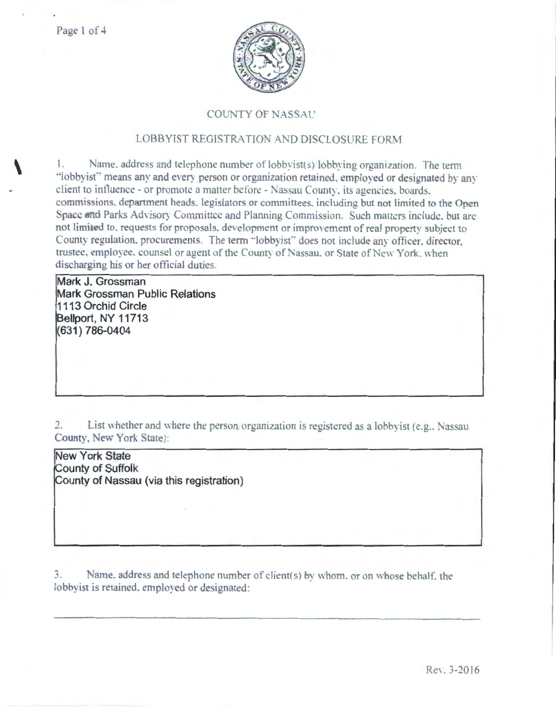

## **COUNTY OF NASSAU**

## LOBBYIST REGISTRATION AND DISCLOSURE FORM

1. Name, address and telephone number of lobbyist(s)/lobbying organization. The term "lobbyist" means any and every person or organization retained, employed or designated by any client to influence - or promote a matter before - Nassau County, its agencies, boards. commissions. department heads. legislators or committees, including but not limited to the Open Space and Parks Advisory Committee and Planning Commission. Such matters include, but are not limited to, requests for proposals, development or improvement of real property subject to County regulation, procurements. The term "lobbyist" does not include any officer, director, trustee, employee, counsel or agent of the County of Nassau, or State of New York, when discharging his or her official duties.

Mark J. Grossman Mark Grossman Public Relations 1113 Orchid Circle Bellport, NY 11713 (631) 786-0404

List whether and where the person organization is registered as a lobbyist (e.g., Nassau  $2.$ County, New York State):

**New York State** County of Suffolk County of Nassau (via this registration)

Name, address and telephone number of client(s) by whom, or on whose behalf, the  $3.$ lobbyist is retained, employed or designated: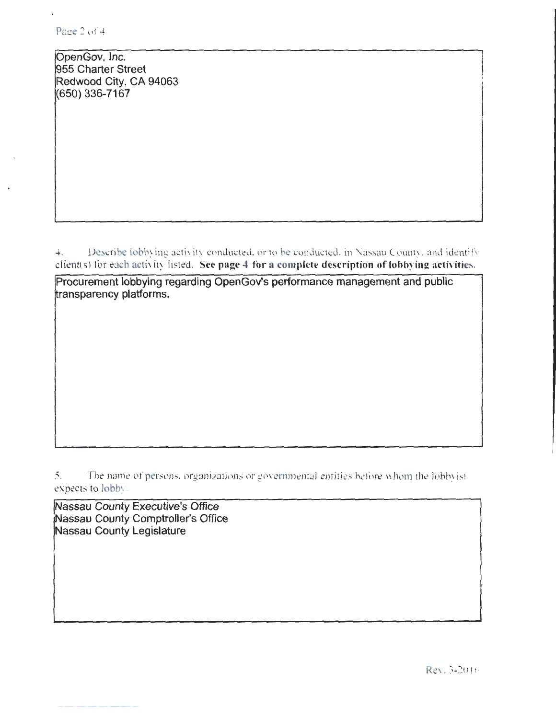OpenGov, Inc. 955 Charter Street Redwood City, CA 94063 (650) 336-7167

4. Describe lobbying activity conducted, or to be conducted. in Nassau County, and identify client(s) for each activity listed. See page 4 for a complete description of lobbying activities.

Procurement lobbying regarding OpenGov's performance management and public ransparency platforms.

5. The name of persons, organizations or governmental entities before whom the lobby ist expects to lobby

Nassau County Executive's Office Nassau County Comptroller's Office Nassau County Legislature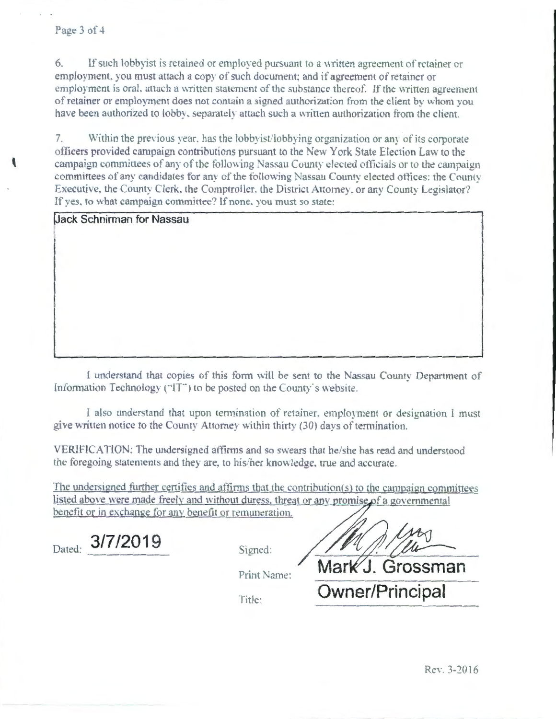$6.$ If such lobby ist is retained or employed pursuant to a written agreement of retainer or employment, you must attach a copy of such document; and if agreement of retainer or employment is oral, attach a written statement of the substance thereof. If the written agreement of retainer or employment does not contain a signed authorization from the client by whom you have been authorized to lobby, separately attach such a written authorization from the client.

7. Within the previous year, has the lobby ist/lobbying organization or any of its corporate officers provided campaign contributions pursuant to the New York State Election Law to the campaign committees of any of the following Nassau County elected officials or to the campaign committees of any candidates for any of the following Nassau County elected offices: the County Executive, the County Clerk, the Comptroller, the District Attorney, or any County Legislator? If yes, to what campaign committee? If none, you must so state:

**Jack Schnirman for Nassau** 

I understand that copies of this form will be sent to the Nassau County Department of Information Technology ("IT") to be posted on the County's website.

I also understand that upon termination of retainer, employment or designation I must give written notice to the County Attorney within thirty (30) days of termination.

VERIFICATION: The undersigned affirms and so swears that he/she has read and understood the foregoing statements and they are, to his/her knowledge, true and accurate.

The undersigned further certifies and affirms that the contribution(s) to the campaign committees listed above were made freely and without duress, threat or any promise of a governmental benefit or in exchange for any benefit or remuneration.

|        | 3/7/2019 |  |
|--------|----------|--|
| Dated: |          |  |

| Signed: |  |
|---------|--|
|         |  |

Print Name:

Mark J. Grossman

Owner/Principal

Title: